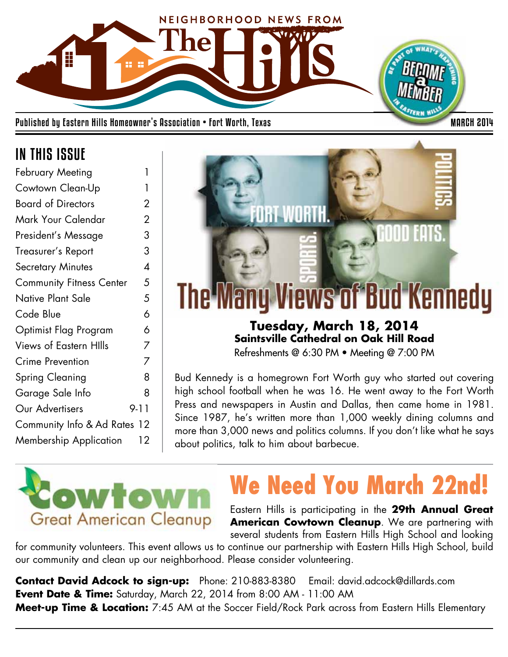

Published by Eastern Hills Homeowner's Association • Fort Worth, Texas MARCH 2014

## IN THIS ISSUE

| February Meeting                | 1              |
|---------------------------------|----------------|
| Cowtown Clean-Up                | 1              |
| <b>Board of Directors</b>       | 2              |
| Mark Your Calendar              | $\overline{2}$ |
| President's Message             | 3              |
| Treasurer's Report              | 3              |
| <b>Secretary Minutes</b>        | $\overline{A}$ |
| <b>Community Fitness Center</b> | 5              |
| Native Plant Sale               | 5              |
| Code Blue                       | 6              |
| Optimist Flag Program           | 6              |
| <b>Views of Eastern Hills</b>   | 7              |
| <b>Crime Prevention</b>         | 7              |
| Spring Cleaning                 | 8              |
| Garage Sale Info                | 8              |
| Our Advertisers                 | 9-11           |
| Community Info & Ad Rates 12    |                |
| Membership Application          | 12             |
|                                 |                |



Refreshments @ 6:30 PM • Meeting @ 7:00 PM

Bud Kennedy is a homegrown Fort Worth guy who started out covering high school football when he was 16. He went away to the Fort Worth Press and newspapers in Austin and Dallas, then came home in 1981. Since 1987, he's written more than 1,000 weekly dining columns and more than 3,000 news and politics columns. If you don't like what he says about politics, talk to him about barbecue.



# **We Need You March 22nd!**

Eastern Hills is participating in the **29th Annual Great American Cowtown Cleanup**. We are partnering with several students from Eastern Hills High School and looking

for community volunteers. This event allows us to continue our partnership with Eastern Hills High School, build our community and clean up our neighborhood. Please consider volunteering.

**Contact David Adcock to sign-up:** Phone: 210-883-8380 Email: david.adcock@dillards.com **Event Date & Time:** Saturday, March 22, 2014 from 8:00 AM - 11:00 AM **Meet-up Time & Location:** 7:45 AM at the Soccer Field/Rock Park across from Eastern Hills Elementary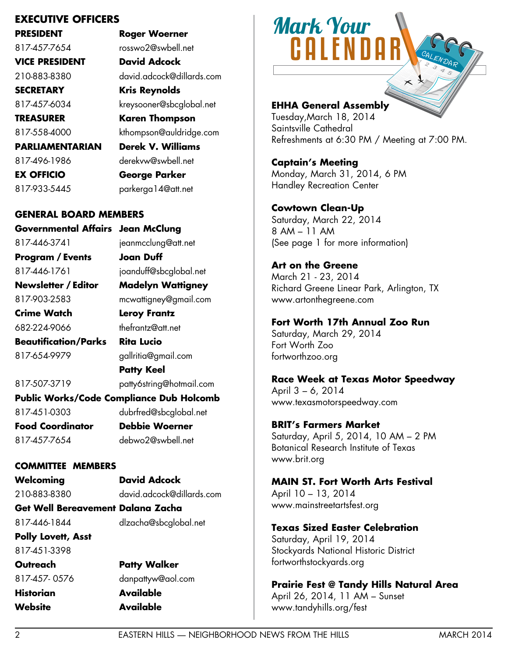## **EXECUTIVE OFFICERS**

**PRESIDENT Roger Woerner** 817-457-7654 rosswo2@swbell.net **VICE PRESIDENT David Adcock SECRETARY Kris Reynolds TREASURER Karen Thompson PARLIAMENTARIAN Derek V. Williams** 817-496-1986 derekvw@swbell.net

210-883-8380 david.adcock@dillards.com 817-457-6034 kreysooner@sbcglobal.net 817-558-4000 kthompson@auldridge.com

**EX OFFICIO George Parker** 817-933-5445 parkerga14@att.net **GENERAL BOARD MEMBERS Governmental Affairs Jean McClung**

817-446-3741 jeanmcclung@att.net **Program / Events Joan Duff** 817-446-1761 joanduff@sbcglobal.net **Newsletter / Editor Madelyn Wattigney** 817-903-2583 mcwattigney@gmail.com **Crime Watch Leroy Frantz** 682-224-9066 thefrantz@att.net **Beautification/Parks Rita Lucio**

817-654-9979 gallritia@gmail.com

**Patty Keel** 817-507-3719 patty6string@hotmail.com **Public Works/Code Compliance Dub Holcomb**  817-451-0303 dubrfred@sbcglobal.net **Food Coordinator Debbie Woerner** 817-457-7654 debwo2@swbell.net

### **COMMITTEE MEMBERS**

**Welcoming David Adcock** 210-883-8380 david.adcock@dillards.com **Get Well Bereavement Dalana Zacha**

817-446-1844 dlzacha@sbcglobal.net

**Polly Lovett, Asst** 817-451-3398

**Historian Available Website Available**

**Outreach Patty Walker** 817-457- 0576 danpattyw@aol.com

# Mark Your **CALENDA**

## **EHHA General Assembly**

Tuesday,March 18, 2014 Saintsville Cathedral Refreshments at 6:30 PM / Meeting at 7:00 PM.

**Captain's Meeting** Monday, March 31, 2014, 6 PM Handley Recreation Center

**Cowtown Clean-Up** Saturday, March 22, 2014 8 AM – 11 AM (See page 1 for more information)

**Art on the Greene** March 21 - 23, 2014 Richard Greene Linear Park, Arlington, TX www.artonthegreene.com

### **Fort Worth 17th Annual Zoo Run**

Saturday, March 29, 2014 Fort Worth Zoo fortworthzoo.org

**Race Week at Texas Motor Speedway**

April 3 – 6, 2014 www.texasmotorspeedway.com

**BRIT's Farmers Market** Saturday, April 5, 2014, 10 AM – 2 PM Botanical Research Institute of Texas www.brit.org

**MAIN ST. Fort Worth Arts Festival** April 10 – 13, 2014 www.mainstreetartsfest.org

**Texas Sized Easter Celebration**

Saturday, April 19, 2014 Stockyards National Historic District fortworthstockyards.org

**Prairie Fest @ Tandy Hills Natural Area** April 26, 2014, 11 AM – Sunset www.tandyhills.org/fest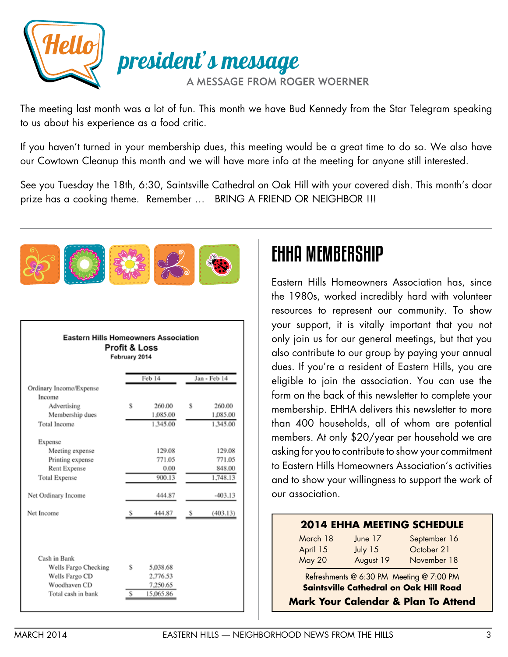

The meeting last month was a lot of fun. This month we have Bud Kennedy from the Star Telegram speaking to us about his experience as a food critic.

If you haven't turned in your membership dues, this meeting would be a great time to do so. We also have our Cowtown Cleanup this month and we will have more info at the meeting for anyone still interested.

See you Tuesday the 18th, 6:30, Saintsville Cathedral on Oak Hill with your covered dish. This month's door prize has a cooking theme. Remember ... BRING A FRIEND OR NEIGHBOR !!!



#### **Eastern Hills Homeowners Association** Profit & Loss February 2014

|                                      |   | Feb 14    |   | Jan - Feb 14 |
|--------------------------------------|---|-----------|---|--------------|
| Ordinary Income/Expense              |   |           |   |              |
| Income                               |   |           |   |              |
| Advertising                          | s | 260.00    | s | 260.00       |
| Membership dues                      |   | 1,085.00  |   | 1,085.00     |
| Total Income                         |   | 1.345.00  |   | 1,345.00     |
| Expense                              |   |           |   |              |
| Meeting expense                      |   | 129.08    |   | 129.08       |
| Printing expense                     |   | 771.05    |   | 771.05       |
| Rent Expense                         |   | 0.00      |   | 848.00       |
| <b>Total Expense</b>                 |   | 900.13    |   | 1,748.13     |
| Net Ordinary Income                  |   | 444.87    |   | $-403.13$    |
| Net Income                           |   | 444.87    | s | (403.13)     |
|                                      |   |           |   |              |
| Cash in Bank<br>Wells Fargo Checking | s | 5.038.68  |   |              |
| Wells Fargo CD                       |   | 2,776.53  |   |              |
| Woodhaven CD                         |   | 7,250.65  |   |              |
| Total cash in bank                   | s | 15.065.86 |   |              |

# EHHA MEMBERSHIP

Eastern Hills Homeowners Association has, since the 1980s, worked incredibly hard with volunteer resources to represent our community. To show your support, it is vitally important that you not only join us for our general meetings, but that you also contribute to our group by paying your annual dues. If you're a resident of Eastern Hills, you are eligible to join the association. You can use the form on the back of this newsletter to complete your membership. EHHA delivers this newsletter to more than 400 households, all of whom are potential members. At only \$20/year per household we are asking for you to contribute to show your commitment to Eastern Hills Homeowners Association's activities and to show your willingness to support the work of our association.

## **2014 EHHA MEETING SCHEDULE**

| March 18      | June 17   | September 16 |
|---------------|-----------|--------------|
| April 15      | July $15$ | October 21   |
| <b>May 20</b> | August 19 | November 18  |

Refreshments @ 6:30 PM Meeting @ 7:00 PM **Saintsville Cathedral on Oak Hill Road**

**Mark Your Calendar & Plan To Attend**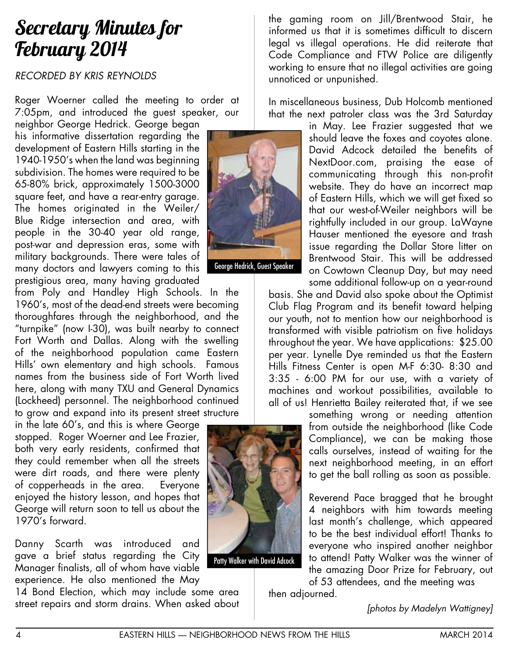## Secretary Minutes for February 2014

## *RECORDED BY KRIS REYNOLDS*

Roger Woerner called the meeting to order at 7:05pm, and introduced the guest speaker, our

neighbor George Hedrick. George began his informative dissertation regarding the development of Eastern Hills starting in the 1940-1950's when the land was beginning subdivision. The homes were required to be 65-80% brick, approximately 1500-3000 square feet, and have a rear-entry garage. The homes originated in the Weiler/ Blue Ridge intersection and area, with people in the 30-40 year old range, post-war and depression eras, some with military backgrounds. There were tales of many doctors and lawyers coming to this prestigious area, many having graduated

from Poly and Handley High Schools. In the 1960's, most of the dead-end streets were becoming thoroughfares through the neighborhood, and the "turnpike" (now I-30), was built nearby to connect Fort Worth and Dallas. Along with the swelling of the neighborhood population came Eastern Hills' own elementary and high schools. Famous names from the business side of Fort Worth lived here, along with many TXU and General Dynamics (Lockheed) personnel. The neighborhood continued to grow and expand into its present street structure

in the late 60's, and this is where George stopped. Roger Woerner and Lee Frazier, both very early residents, confirmed that they could remember when all the streets were dirt roads, and there were plenty of copperheads in the area. Everyone enjoyed the history lesson, and hopes that George will return soon to tell us about the 1970's forward.

Danny Scarth was introduced and gave a brief status regarding the City Manager finalists, all of whom have viable experience. He also mentioned the May

14 Bond Election, which may include some area street repairs and storm drains. When asked about



George Hedrick, Guest Speaker

the gaming room on Jill/Brentwood Stair, he informed us that it is sometimes difficult to discern legal vs illegal operations. He did reiterate that Code Compliance and FTW Police are diligently working to ensure that no illegal activities are going unnoticed or unpunished.

In miscellaneous business, Dub Holcomb mentioned that the next patroler class was the 3rd Saturday

in May. Lee Frazier suggested that we should leave the foxes and coyotes alone. David Adcock detailed the benefits of NextDoor.com, praising the ease of communicating through this non-profit website. They do have an incorrect map of Eastern Hills, which we will get fixed so that our west-of-Weiler neighbors will be rightfully included in our group. LaWayne Hauser mentioned the eyesore and trash issue regarding the Dollar Store litter on Brentwood Stair. This will be addressed on Cowtown Cleanup Day, but may need some additional follow-up on a year-round

basis. She and David also spoke about the Optimist Club Flag Program and its benefit toward helping our youth, not to mention how our neighborhood is transformed with visible patriotism on five holidays throughout the year. We have applications: \$25.00 per year. Lynelle Dye reminded us that the Eastern Hills Fitness Center is open M-F 6:30- 8:30 and 3:35 - 6:00 PM for our use, with a variety of machines and workout possibilities, available to all of us! Henrietta Bailey reiterated that, if we see

> something wrong or needing attention from outside the neighborhood (like Code Compliance), we can be making those calls ourselves, instead of waiting for the next neighborhood meeting, in an effort to get the ball rolling as soon as possible.

> Reverend Pace bragged that he brought 4 neighbors with him towards meeting last month's challenge, which appeared to be the best individual effort! Thanks to everyone who inspired another neighbor to attend! Patty Walker was the winner of the amazing Door Prize for February, out

of 53 attendees, and the meeting was then adjourned.

*[photos by Madelyn Wattigney]*

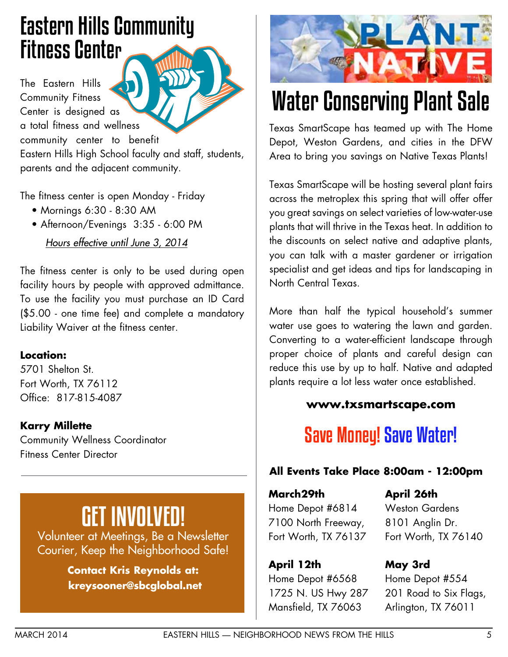# Eastern Hills Community Fitness Center

The Eastern Hills Community Fitness Center is designed as a total fitness and wellness community center to benefit Eastern Hills High School faculty and staff, students, parents and the adjacent community.

The fitness center is open Monday - Friday

- Mornings 6:30 8:30 AM
- Afternoon/Evenings 3:35 6:00 PM

 *Hours effective until June 3, 2014*

The fitness center is only to be used during open facility hours by people with approved admittance. To use the facility you must purchase an ID Card (\$5.00 - one time fee) and complete a mandatory Liability Waiver at the fitness center.

## **Location:**

5701 Shelton St. Fort Worth, TX 76112 Office: 817-815-4087

## **Karry Millette**

Community Wellness Coordinator Fitness Center Director

# GET INVOLVED!

Volunteer at Meetings, Be a Newsletter Courier, Keep the Neighborhood Safe!

> **Contact Kris Reynolds at: kreysooner@sbcglobal.net**



# Water Conserving Plant Sale

Texas SmartScape has teamed up with The Home Depot, Weston Gardens, and cities in the DFW Area to bring you savings on Native Texas Plants!

Texas SmartScape will be hosting several plant fairs across the metroplex this spring that will offer offer you great savings on select varieties of low-water-use plants that will thrive in the Texas heat. In addition to the discounts on select native and adaptive plants, you can talk with a master gardener or irrigation specialist and get ideas and tips for landscaping in North Central Texas.

More than half the typical household's summer water use goes to watering the lawn and garden. Converting to a water-efficient landscape through proper choice of plants and careful design can reduce this use by up to half. Native and adapted plants require a lot less water once established.

## **www.txsmartscape.com**

## **Save Money! Save Water!**

## **All Events Take Place 8:00am - 12:00pm**

**March29th** Home Depot #6814 7100 North Freeway, Fort Worth, TX 76137

**April 12th** Home Depot #6568 1725 N. US Hwy 287 Mansfield, TX 76063

**April 26th** Weston Gardens 8101 Anglin Dr. Fort Worth, TX 76140

**May 3rd** Home Depot #554 201 Road to Six Flags, Arlington, TX 76011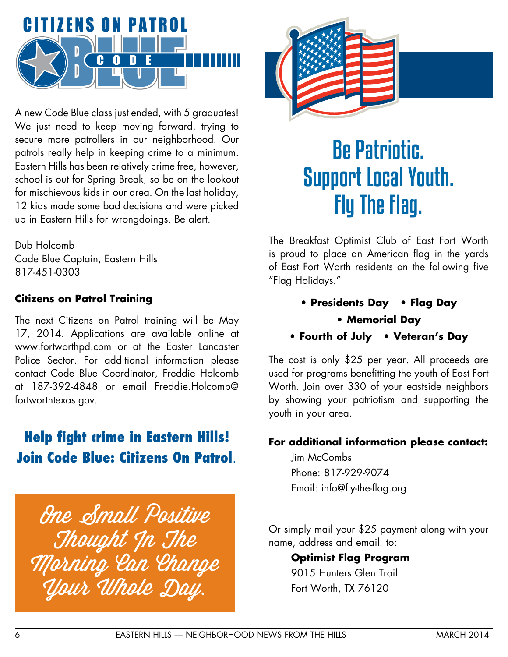

A new Code Blue class just ended, with 5 graduates! We just need to keep moving forward, trying to secure more patrollers in our neighborhood. Our patrols really help in keeping crime to a minimum. Eastern Hills has been relatively crime free, however, school is out for Spring Break, so be on the lookout for mischievous kids in our area. On the last holiday, 12 kids made some bad decisions and were picked up in Eastern Hills for wrongdoings. Be alert.

Dub Holcomb Code Blue Captain, Eastern Hills 817-451-0303

## **Citizens on Patrol Training**

The next Citizens on Patrol training will be May 17, 2014. Applications are available online at www.fortworthpd.com or at the Easter Lancaster Police Sector. For additional information please contact Code Blue Coordinator, Freddie Holcomb at 187-392-4848 or email Freddie.Holcomb@ fortworthtexas.gov.

## **Help fight crime in Eastern Hills! Join Code Blue: Citizens On Patrol**.

One Small Positive Thought In The Morning Can Change Your Whole Day.



# Be Patriotic. Support Local Youth. Fly The Flag.

The Breakfast Optimist Club of East Fort Worth is proud to place an American flag in the yards of East Fort Worth residents on the following five "Flag Holidays."

- **Presidents Day Flag Day** 
	- **Memorial Day**
- **Fourth of July Veteran's Day**

The cost is only \$25 per year. All proceeds are used for programs benefitting the youth of East Fort Worth. Join over 330 of your eastside neighbors by showing your patriotism and supporting the youth in your area.

### **For additional information please contact:**

Jim McCombs Phone: 817-929-9074 Email: info@fly-the-flag.org

Or simply mail your \$25 payment along with your name, address and email. to:

## **Optimist Flag Program**

9015 Hunters Glen Trail Fort Worth, TX 76120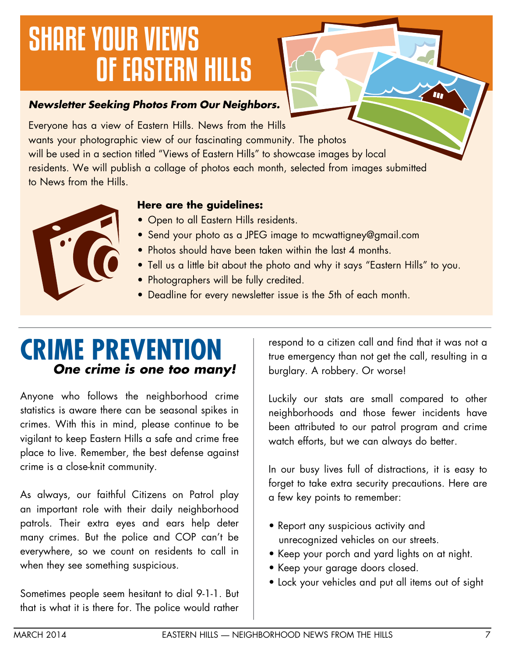# SHARE YOUR VIEWS OF EASTERN HILLS

## *Newsletter Seeking Photos From Our Neighbors.*

Everyone has a view of Eastern Hills. News from the Hills wants your photographic view of our fascinating community. The photos will be used in a section titled "Views of Eastern Hills" to showcase images by local residents. We will publish a collage of photos each month, selected from images submitted to News from the Hills.

## **Here are the guidelines:**

- Open to all Eastern Hills residents.
- Send your photo as a JPEG image to mcwattigney@gmail.com
- Photos should have been taken within the last 4 months.
- Tell us a little bit about the photo and why it says "Eastern Hills" to you.
- Photographers will be fully credited.
- Deadline for every newsletter issue is the 5th of each month.

## **CRIME PREVENTION**  *One crime is one too many!*

Anyone who follows the neighborhood crime statistics is aware there can be seasonal spikes in crimes. With this in mind, please continue to be vigilant to keep Eastern Hills a safe and crime free place to live. Remember, the best defense against crime is a close-knit community.

As always, our faithful Citizens on Patrol play an important role with their daily neighborhood patrols. Their extra eyes and ears help deter many crimes. But the police and COP can't be everywhere, so we count on residents to call in when they see something suspicious.

Sometimes people seem hesitant to dial 9-1-1. But that is what it is there for. The police would rather

respond to a citizen call and find that it was not a true emergency than not get the call, resulting in a burglary. A robbery. Or worse!

Luckily our stats are small compared to other neighborhoods and those fewer incidents have been attributed to our patrol program and crime watch efforts, but we can always do better.

In our busy lives full of distractions, it is easy to forget to take extra security precautions. Here are a few key points to remember:

- Report any suspicious activity and unrecognized vehicles on our streets.
- Keep your porch and yard lights on at night.
- Keep your garage doors closed.
- Lock your vehicles and put all items out of sight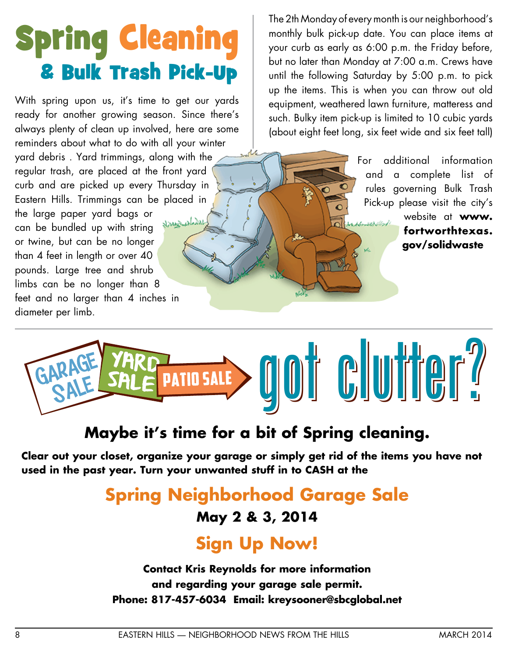# Spring Cleaning & Bulk Trash Pick-Up

With spring upon us, it's time to get our yards ready for another growing season. Since there's always plenty of clean up involved, here are some reminders about what to do with all your winter yard debris . Yard trimmings, along with the regular trash, are placed at the front yard curb and are picked up every Thursday in Eastern Hills. Trimmings can be placed in the large paper yard bags or بالأمادر خيادناد can be bundled up with string or twine, but can be no longer than 4 feet in length or over 40 pounds. Large tree and shrub limbs can be no longer than 8 feet and no larger than 4 inches in diameter per limb.

The 2th Monday of every month is our neighborhood's monthly bulk pick-up date. You can place items at your curb as early as 6:00 p.m. the Friday before, but no later than Monday at 7:00 a.m. Crews have until the following Saturday by 5:00 p.m. to pick up the items. This is when you can throw out old equipment, weathered lawn furniture, matteress and such. Bulky item pick-up is limited to 10 cubic yards (about eight feet long, six feet wide and six feet tall)

> For additional information and a complete list of rules governing Bulk Trash Pick-up please visit the city's website at **www. fortworthtexas. gov/solidwaste** ve.



## **Maybe it's time for a bit of Spring cleaning.**

**Clear out your closet, organize your garage or simply get rid of the items you have not used in the past year. Turn your unwanted stuff in to CASH at the**

## **Spring Neighborhood Garage Sale**

## **May 2 & 3, 2014**

## **Sign Up Now!**

**Contact Kris Reynolds for more information and regarding your garage sale permit. Phone: 817-457-6034 Email: kreysooner@sbcglobal.net**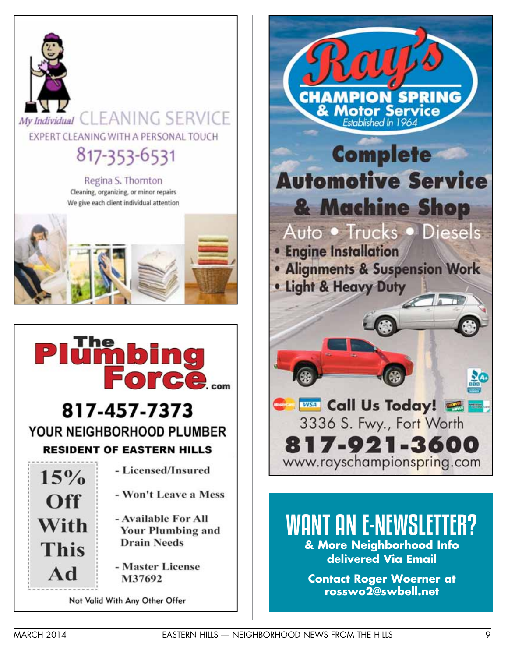



## WANT AN E-NEWSLETTER? **& More Neighborhood Info delivered Via Email**

**Contact Roger Woerner at rosswo2@swbell.net**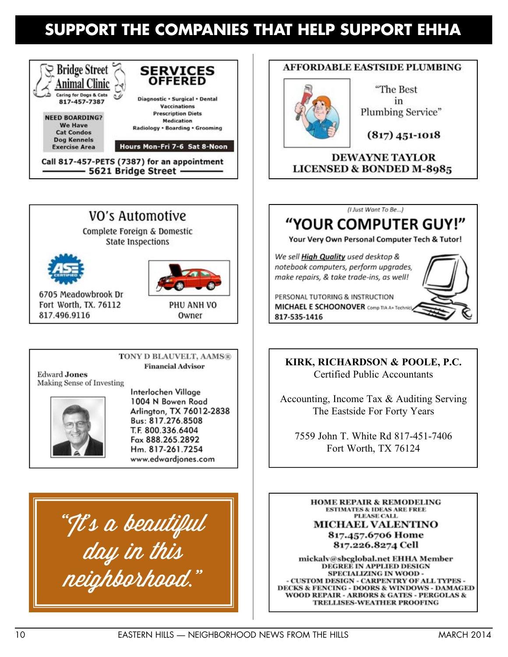## **SUPPORT THE COMPANIES THAT HELP SUPPORT EHHA**



- 5621 Bridge Street -



**State Inspections** 





Owner

6705 Meadowbrook Dr Fort Worth, TX, 76112 817.496.9116

> TONY D BLAUVELT, AAMS® **Financial Advisor**

**Edward Jones** Making Sense of Investing



Interlochen Village 1004 N Bowen Road Arlington, TX 76012-2838 Bus: 817.276.8508 T.F. 800.336.6404 Fax 888.265.2892 Hm. 817-261.7254 www.edwardjones.com

"It's a beautiful day in this neighborhood."

### **AFFORDABLE EASTSIDE PLUMBING**



"The Best in Plumbing Service"

 $(817)$  451-1018

**DEWAYNE TAYLOR LICENSED & BONDED M-8985** 



## "YOUR COMPUTER GUY!"

Your Very Own Personal Computer Tech & Tutor!

We sell High Quality used desktop & notebook computers, perform upgrades, make repairs, & take trade-ins, as well!

PERSONAL TUTORING & INSTRUCTION **MICHAEL E SCHOONOVER** Comp TIA A+ Technic 817-535-1416

**KIRK, RICHARDSON & POOLE, P.C.** Certified Public Accountants

Accounting, Income Tax & Auditing Serving The Eastside For Forty Years

7559 John T. White Rd 817-451-7406 Fort Worth, TX 76124

**HOME REPAIR & REMODELING ESTIMATES & IDEAS ARE FREE PLEASE CALL MICHAEL VALENTINO** 817.457.6706 Home 817.226.8274 Cell

mickalv@sbcglobal.net EHHA Member DEGREE IN APPLIED DESIGN SPECIALIZING IN WOOD -- CUSTOM DESIGN - CARPENTRY OF ALL TYPES -DECKS & FENCING - DOORS & WINDOWS - DAMAGED **WOOD REPAIR - ARBORS & GATES - PERGOLAS &** TRELLISES-WEATHER PROOFING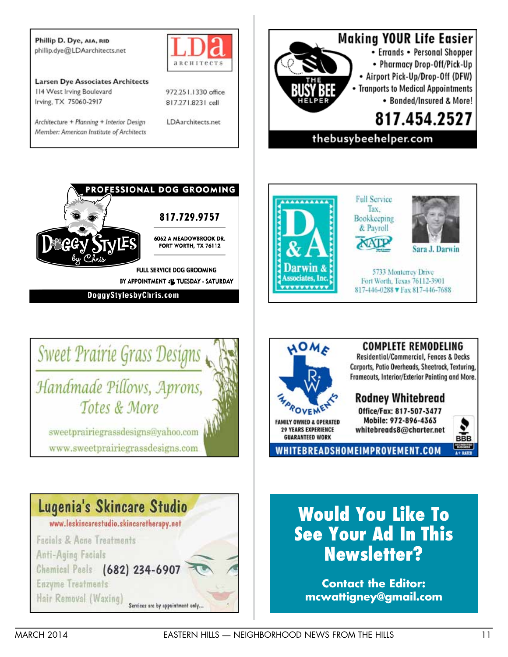Phillip D. Dye, AIA, RID phillip.dye@LDAarchitects.net



**Larsen Dye Associates Architects** 114 West Irving Boulevard Irving, TX 75060-2917

Architecture + Planning + Interior Design Member: American Institute of Architects 972.251.1330 office 817.271.8231 cell

LDAarchitects.net





BY APPOINTMENT : TUESDAY - SATURDAY

DoggyStylesbyChris.com





**Full Service** Tax. Bookkeeping & Payroll arwin J



5733 Monterrey Drive Fort Worth, Texas 76112-3901 817-446-0288 V Fax 817-446-7688



## **Would You Like To See Your Ad In This Newsletter?**

**Contact the Editor: mcwattigney@gmail.com**